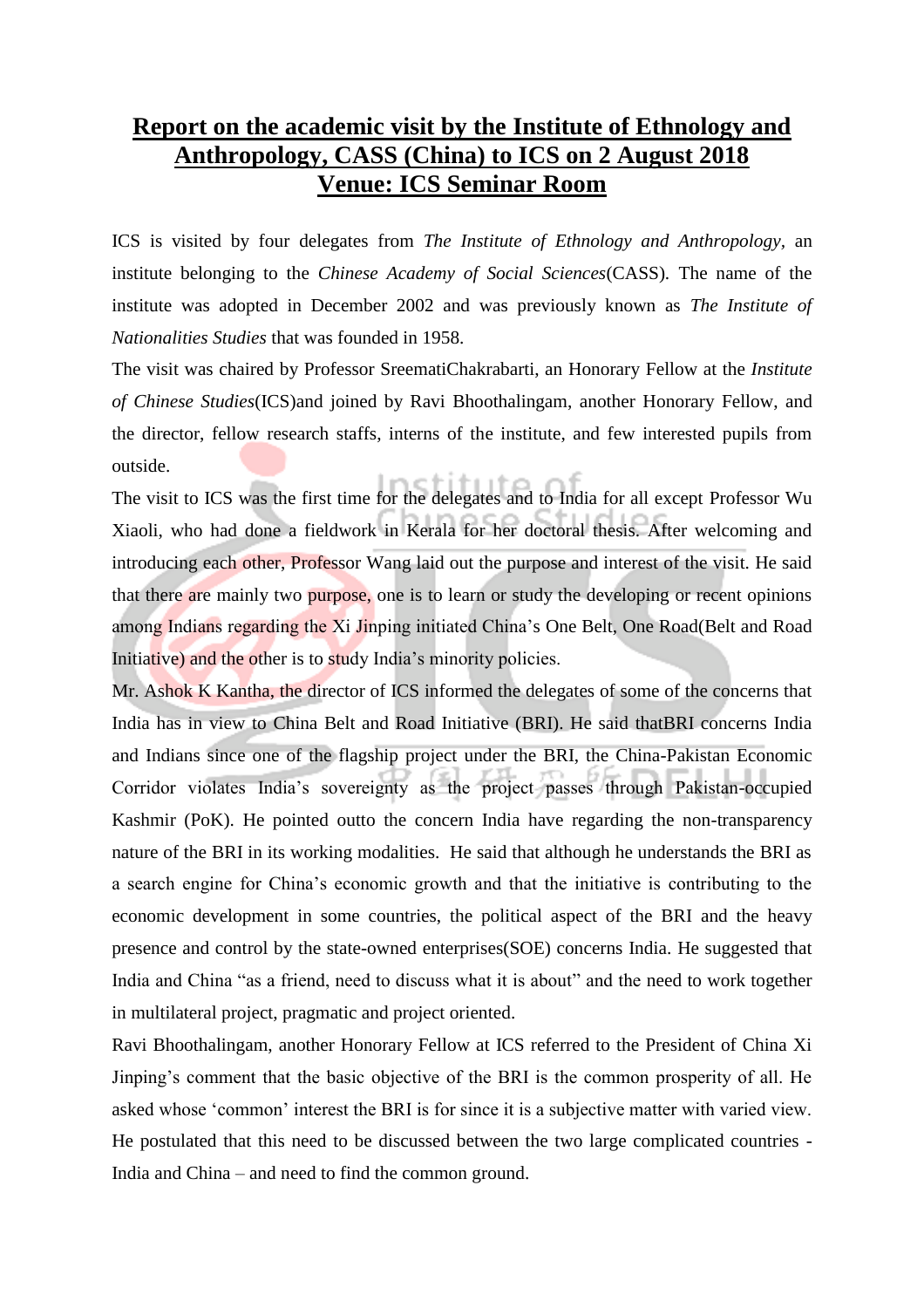## **Report on the academic visit by the Institute of Ethnology and Anthropology, CASS (China) to ICS on 2 August 2018 Venue: ICS Seminar Room**

ICS is visited by four delegates from *The Institute of Ethnology and Anthropology,* an institute belonging to the *Chinese Academy of Social Sciences*(CASS)*.* The name of the institute was adopted in December 2002 and was previously known as *The Institute of Nationalities Studies* that was founded in 1958.

The visit was chaired by Professor SreematiChakrabarti, an Honorary Fellow at the *Institute of Chinese Studies*(ICS)and joined by Ravi Bhoothalingam, another Honorary Fellow, and the director, fellow research staffs, interns of the institute, and few interested pupils from outside.

The visit to ICS was the first time for the delegates and to India for all except Professor Wu Xiaoli, who had done a fieldwork in Kerala for her doctoral thesis. After welcoming and introducing each other, Professor Wang laid out the purpose and interest of the visit. He said that there are mainly two purpose, one is to learn or study the developing or recent opinions among Indians regarding the Xi Jinping initiated China's One Belt, One Road(Belt and Road Initiative) and the other is to study India's minority policies.

Mr. Ashok K Kantha, the director of ICS informed the delegates of some of the concerns that India has in view to China Belt and Road Initiative (BRI). He said thatBRI concerns India and Indians since one of the flagship project under the BRI, the China-Pakistan Economic Corridor violates India's sovereignty as the project passes through Pakistan-occupied Kashmir (PoK). He pointed outto the concern India have regarding the non-transparency nature of the BRI in its working modalities. He said that although he understands the BRI as a search engine for China's economic growth and that the initiative is contributing to the economic development in some countries, the political aspect of the BRI and the heavy presence and control by the state-owned enterprises(SOE) concerns India. He suggested that India and China "as a friend, need to discuss what it is about" and the need to work together in multilateral project, pragmatic and project oriented.

Ravi Bhoothalingam, another Honorary Fellow at ICS referred to the President of China Xi Jinping's comment that the basic objective of the BRI is the common prosperity of all. He asked whose 'common' interest the BRI is for since it is a subjective matter with varied view. He postulated that this need to be discussed between the two large complicated countries - India and China – and need to find the common ground.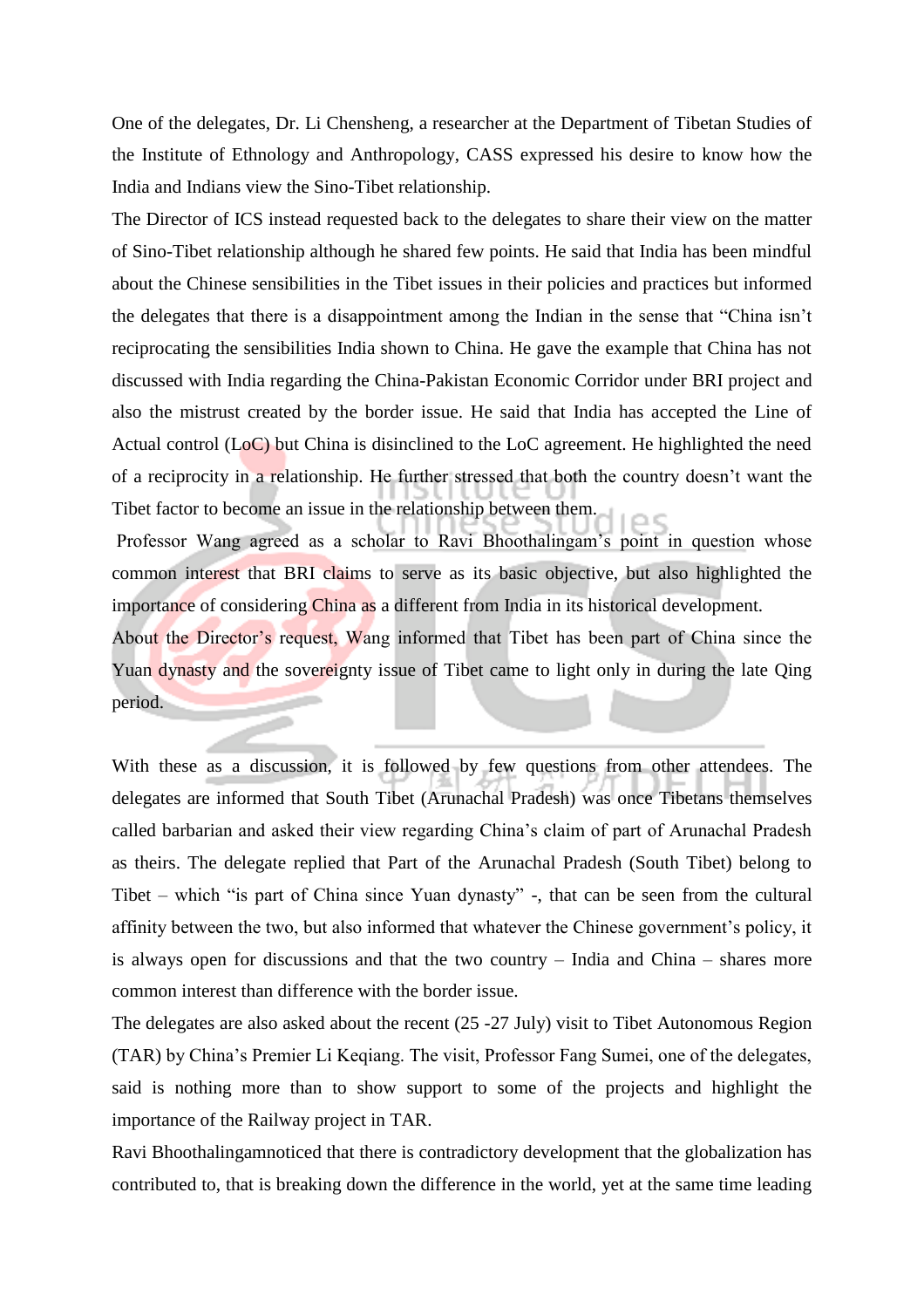One of the delegates, Dr. Li Chensheng, a researcher at the Department of Tibetan Studies of the Institute of Ethnology and Anthropology, CASS expressed his desire to know how the India and Indians view the Sino-Tibet relationship.

The Director of ICS instead requested back to the delegates to share their view on the matter of Sino-Tibet relationship although he shared few points. He said that India has been mindful about the Chinese sensibilities in the Tibet issues in their policies and practices but informed the delegates that there is a disappointment among the Indian in the sense that "China isn't reciprocating the sensibilities India shown to China. He gave the example that China has not discussed with India regarding the China-Pakistan Economic Corridor under BRI project and also the mistrust created by the border issue. He said that India has accepted the Line of Actual control (LoC) but China is disinclined to the LoC agreement. He highlighted the need of a reciprocity in a relationship. He further stressed that both the country doesn't want the Tibet factor to become an issue in the relationship between them.

Professor Wang agreed as a scholar to Ravi Bhoothalingam's point in question whose common interest that BRI claims to serve as its basic objective, but also highlighted the importance of considering China as a different from India in its historical development.

About the Director's request, Wang informed that Tibet has been part of China since the Yuan dynasty and the sovereignty issue of Tibet came to light only in during the late Qing period.

With these as a discussion, it is followed by few questions from other attendees. The delegates are informed that South Tibet (Arunachal Pradesh) was once Tibetans themselves called barbarian and asked their view regarding China's claim of part of Arunachal Pradesh as theirs. The delegate replied that Part of the Arunachal Pradesh (South Tibet) belong to Tibet – which "is part of China since Yuan dynasty" -, that can be seen from the cultural affinity between the two, but also informed that whatever the Chinese government's policy, it is always open for discussions and that the two country – India and China – shares more common interest than difference with the border issue.

The delegates are also asked about the recent (25 -27 July) visit to Tibet Autonomous Region (TAR) by China's Premier Li Keqiang. The visit, Professor Fang Sumei, one of the delegates, said is nothing more than to show support to some of the projects and highlight the importance of the Railway project in TAR.

Ravi Bhoothalingamnoticed that there is contradictory development that the globalization has contributed to, that is breaking down the difference in the world, yet at the same time leading